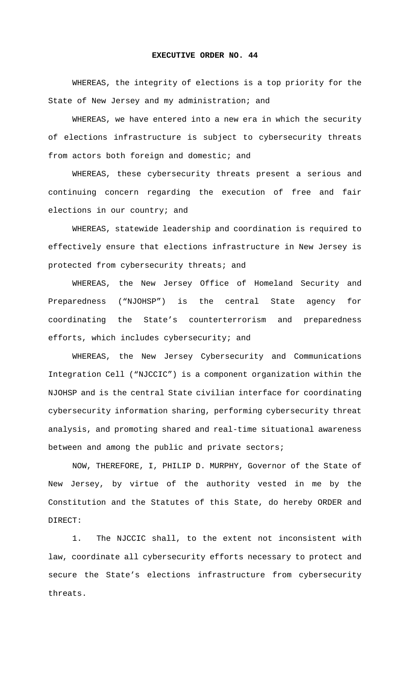## **EXECUTIVE ORDER NO. 44**

WHEREAS, the integrity of elections is a top priority for the State of New Jersey and my administration; and

WHEREAS, we have entered into a new era in which the security of elections infrastructure is subject to cybersecurity threats from actors both foreign and domestic; and

WHEREAS, these cybersecurity threats present a serious and continuing concern regarding the execution of free and fair elections in our country; and

WHEREAS, statewide leadership and coordination is required to effectively ensure that elections infrastructure in New Jersey is protected from cybersecurity threats; and

WHEREAS, the New Jersey Office of Homeland Security and Preparedness ("NJOHSP") is the central State agency for coordinating the State's counterterrorism and preparedness efforts, which includes cybersecurity; and

WHEREAS, the New Jersey Cybersecurity and Communications Integration Cell ("NJCCIC") is a component organization within the NJOHSP and is the central State civilian interface for coordinating cybersecurity information sharing, performing cybersecurity threat analysis, and promoting shared and real-time situational awareness between and among the public and private sectors;

NOW, THEREFORE, I, PHILIP D. MURPHY, Governor of the State of New Jersey, by virtue of the authority vested in me by the Constitution and the Statutes of this State, do hereby ORDER and DIRECT:

1. The NJCCIC shall, to the extent not inconsistent with law, coordinate all cybersecurity efforts necessary to protect and secure the State's elections infrastructure from cybersecurity threats.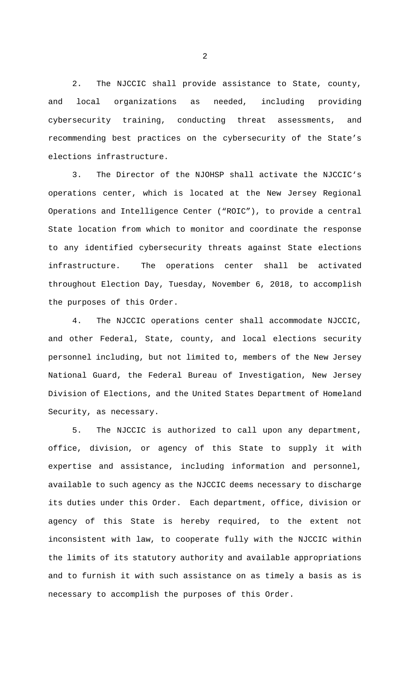2. The NJCCIC shall provide assistance to State, county, and local organizations as needed, including providing cybersecurity training, conducting threat assessments, and recommending best practices on the cybersecurity of the State's elections infrastructure.

3. The Director of the NJOHSP shall activate the NJCCIC's operations center, which is located at the New Jersey Regional Operations and Intelligence Center ("ROIC"), to provide a central State location from which to monitor and coordinate the response to any identified cybersecurity threats against State elections infrastructure. The operations center shall be activated throughout Election Day, Tuesday, November 6, 2018, to accomplish the purposes of this Order.

4. The NJCCIC operations center shall accommodate NJCCIC, and other Federal, State, county, and local elections security personnel including, but not limited to, members of the New Jersey National Guard, the Federal Bureau of Investigation, New Jersey Division of Elections, and the United States Department of Homeland Security, as necessary.

5. The NJCCIC is authorized to call upon any department, office, division, or agency of this State to supply it with expertise and assistance, including information and personnel, available to such agency as the NJCCIC deems necessary to discharge its duties under this Order. Each department, office, division or agency of this State is hereby required, to the extent not inconsistent with law, to cooperate fully with the NJCCIC within the limits of its statutory authority and available appropriations and to furnish it with such assistance on as timely a basis as is necessary to accomplish the purposes of this Order.

2